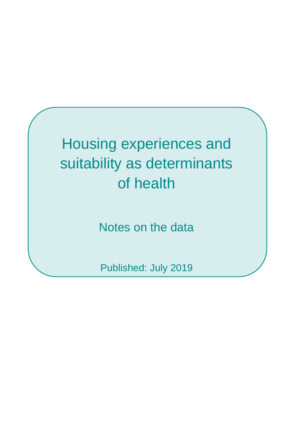# Housing experiences and suitability as determinants of health

Notes on the data

Published: July 2019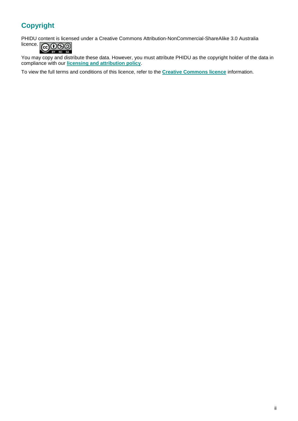# **Copyright**

PHIDU content is licensed under a Creative Commons Attribution-NonCommercial-ShareAlike 3.0 Australia licence.

**@**00  $SA$  $\overline{a}$ 

You may copy and distribute these data. However, you must attribute PHIDU as the copyright holder of the data in compliance with our **[licensing and attribution policy](https://phidu.torrens.edu.au/help-and-information/copyright-disclaimer/licensing-and-attribution-of-phidu-content)**.

To view the full terms and conditions of this licence, refer to the **[Creative Commons licence](http://creativecommons.org/licenses/by-nc-sa/3.0/au/)** information.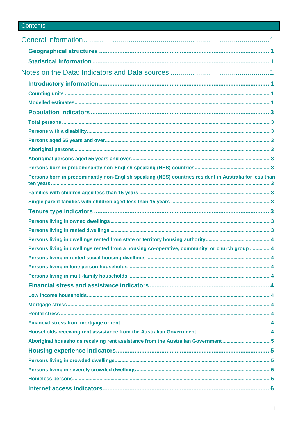# Contents

| Persons born in predominantly non-English speaking (NES) countries resident in Australia for less than |  |
|--------------------------------------------------------------------------------------------------------|--|
|                                                                                                        |  |
|                                                                                                        |  |
|                                                                                                        |  |
|                                                                                                        |  |
|                                                                                                        |  |
|                                                                                                        |  |
| Persons living in dwellings rented from a housing co-operative, community, or church group 4           |  |
|                                                                                                        |  |
|                                                                                                        |  |
|                                                                                                        |  |
|                                                                                                        |  |
|                                                                                                        |  |
|                                                                                                        |  |
|                                                                                                        |  |
|                                                                                                        |  |
|                                                                                                        |  |
| Aboriginal households receiving rent assistance from the Australian Government5                        |  |
|                                                                                                        |  |
|                                                                                                        |  |
|                                                                                                        |  |
|                                                                                                        |  |
|                                                                                                        |  |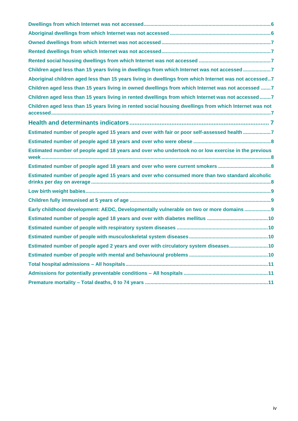| Children aged less than 15 years living in dwellings from which Internet was not accessed 7            |
|--------------------------------------------------------------------------------------------------------|
| Aboriginal children aged less than 15 years living in dwellings from which Internet was not accessed7  |
| Children aged less than 15 years living in owned dwellings from which Internet was not accessed 7      |
| Children aged less than 15 years living in rented dwellings from which Internet was not accessed7      |
| Children aged less than 15 years living in rented social housing dwellings from which Internet was not |
|                                                                                                        |
| Estimated number of people aged 15 years and over with fair or poor self-assessed health 7             |
|                                                                                                        |
| Estimated number of people aged 18 years and over who undertook no or low exercise in the previous     |
| Estimated number of people aged 18 years and over who were current smokers                             |
| Estimated number of people aged 15 years and over who consumed more than two standard alcoholic        |
|                                                                                                        |
|                                                                                                        |
| Early childhood development: AEDC, Developmentally vulnerable on two or more domains9                  |
|                                                                                                        |
|                                                                                                        |
|                                                                                                        |
| Estimated number of people aged 2 years and over with circulatory system diseases10                    |
|                                                                                                        |
|                                                                                                        |
|                                                                                                        |
|                                                                                                        |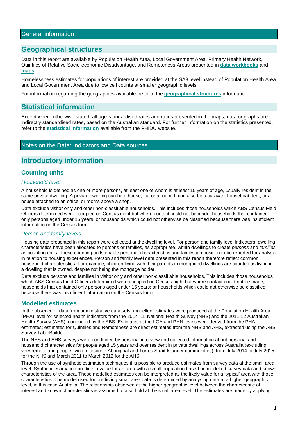# <span id="page-4-1"></span><span id="page-4-0"></span>**Geographical structures**

Data in this report are available by Population Health Area, Local Government Area, Primary Health Network, Quintiles of Relative Socio-economic Disadvantage, and Remoteness Areas presented in **[data workbooks](https://phidu.torrens.edu.au/social-health-atlases/topic-atlas/housing-atlas#housing-atlas-data-workbooks)** and **[maps](https://phidu.torrens.edu.au/social-health-atlases/topic-atlas/housing-atlas#housing-atlas-maps)**.

Homelessness estimates for populations of interest are provided at the SA3 level instead of Population Health Area and Local Government Area due to low cell counts at smaller geographic levels.

For information regarding the geographies available, refer to the **[geographical structures](https://phidu.torrens.edu.au/help-and-information/about-our-data/geographical-structures)** information.

# <span id="page-4-2"></span>**Statistical information**

Except where otherwise stated, all age-standardised rates and ratios presented in the maps, data or graphs are indirectly standardised rates, based on the Australian standard. For further information on the statistics presented, refer to the **[statistical information](https://phidu.torrens.edu.au/help-and-information/about-our-data/statistical-information)** available from the PHIDU website.

#### <span id="page-4-3"></span>Notes on the Data: Indicators and Data sources

# <span id="page-4-4"></span>**Introductory information**

# <span id="page-4-5"></span>**Counting units**

#### *Household level*

A household is defined as one or more persons, at least one of whom is at least 15 years of age, usually resident in the same private dwelling. A private dwelling can be a house, flat or a room. It can also be a caravan, houseboat, tent, or a house attached to an office, or rooms above a shop.

Data exclude visitor only and other non-classifiable households. This includes those households which ABS Census Field Officers determined were occupied on Census night but where contact could not be made; households that contained only persons aged under 15 years; or households which could not otherwise be classified because there was insufficient information on the Census form.

#### *Person and family levels*

Housing data presented in this report were collected at the dwelling level. For person and family level indicators, dwelling characteristics have been allocated to persons or families, as appropriate, within dwellings to create *persons* and *families* as counting units. These counting units enable personal characteristics and family composition to be reported for analysis in relation to housing experiences. Person and family level data presented in this report therefore reflect common household characteristics. For example, children living with their parents in mortgaged dwellings are counted as living in a dwelling that is owned, despite not being the mortgage holder.

Data exclude persons and families in visitor only and other non-classifiable households. This includes those households which ABS Census Field Officers determined were occupied on Census night but where contact could not be made; households that contained only persons aged under 15 years; or households which could not otherwise be classified because there was insufficient information on the Census form.

#### <span id="page-4-6"></span>**Modelled estimates**

In the absence of data from administrative data sets, modelled estimates were produced at the Population Health Area (PHA) level for selected health indicators from the 2014–15 National Health Survey (NHS) and the 2011-12 Australian Health Survey (AHS), conducted by the ABS. Estimates at the LGA and PHN levels were derived from the PHA estimates; estimates for Quintiles and Remoteness are direct estimates from the NHS and AHS, extracted using the ABS Survey TableBuilder.

The NHS and AHS surveys were conducted by personal interview and collected information about personal and household characteristics for people aged 15 years and over resident in private dwellings across Australia (excluding very remote and people living in discrete Aboriginal and Torres Strait Islander communities), from July 2014 to July 2015 for the NHS and March 2011 to March 2012 for the AHS.

Through the use of synthetic estimation techniques it is possible to produce estimates from survey data at the small area level. Synthetic estimation predicts a value for an area with a small population based on modelled survey data and known characteristics of the area. These modelled estimates can be interpreted as the likely value for a 'typical' area with those characteristics. The model used for predicting small area data is determined by analysing data at a higher geographic level, in this case Australia. The relationship observed at the higher geographic level between the characteristic of interest and known characteristics is assumed to also hold at the small area level. The estimates are made by applying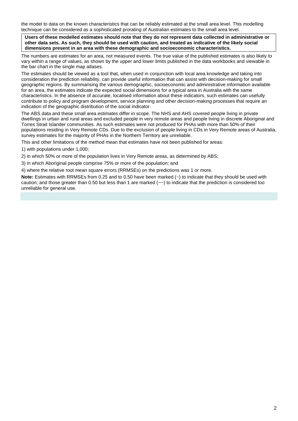the model to data on the known characteristics that can be reliably estimated at the small area level. This modelling technique can be considered as a sophisticated prorating of Australian estimates to the small area level.

**Users of these modelled estimates should note that they do not represent data collected in administrative or other data sets. As such, they should be used with caution, and treated as indicative of the likely social dimensions present in an area with these demographic and socioeconomic characteristics.**

The numbers are estimates for an area, not measured events. The true value of the published estimates is also likely to vary within a range of values, as shown by the upper and lower limits published in the data workbooks and viewable in the bar chart in the single map atlases.

The estimates should be viewed as a tool that, when used in conjunction with local area knowledge and taking into consideration the prediction reliability, can provide useful information that can assist with decision-making for small geographic regions. By summarising the various demographic, socioeconomic and administrative information available for an area, the estimates indicate the expected social dimensions for a typical area in Australia with the same characteristics. In the absence of accurate, localised information about these indicators, such estimates can usefully contribute to policy and program development, service planning and other decision-making processes that require an indication of the geographic distribution of the social indicator.

The ABS data and these small area estimates differ in scope. The NHS and AHS covered people living in private dwellings in urban and rural areas and excluded people in very remote areas and people living in discrete Aboriginal and Torres Strait Islander communities. As such estimates were not produced for PHAs with more than 50% of their populations residing in Very Remote CDs. Due to the exclusion of people living in CDs in Very Remote areas of Australia, survey estimates for the majority of PHAs in the Northern Territory are unreliable.

This and other limitations of the method mean that estimates have not been published for areas:

1) with populations under 1,000;

2) in which 50% or more of the population lives in Very Remote areas, as determined by ABS;

3) in which Aboriginal people comprise 75% or more of the population; and

4) where the relative root mean square errors (RRMSEs) on the predictions was 1 or more.

<span id="page-5-0"></span>**Note:** Estimates with RRMSEs from 0.25 and to 0.50 have been marked (~) to indicate that they should be used with caution; and those greater than 0.50 but less than 1 are marked  $\langle \sim \rangle$  to indicate that the prediction is considered too unreliable for general use.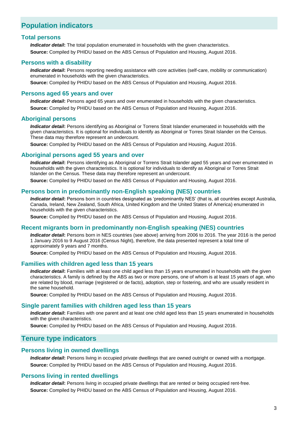# **Population indicators**

#### <span id="page-6-0"></span>**Total persons**

*Indicator detail***:** The total population enumerated in households with the given characteristics. **Source:** Compiled by PHIDU based on the ABS Census of Population and Housing, August 2016.

#### <span id="page-6-1"></span>**Persons with a disability**

*Indicator detail***:** Persons reporting needing assistance with core activities (self-care, mobility or communication) enumerated in households with the given characteristics.

**Source:** Compiled by PHIDU based on the ABS Census of Population and Housing, August 2016.

#### <span id="page-6-2"></span>**Persons aged 65 years and over**

*Indicator detail***:** Persons aged 65 years and over enumerated in households with the given characteristics. **Source:** Compiled by PHIDU based on the ABS Census of Population and Housing, August 2016.

#### <span id="page-6-3"></span>**Aboriginal persons**

*Indicator detail***:** Persons identifying as Aboriginal or Torrens Strait Islander enumerated in households with the given characteristics. It is optional for individuals to identify as Aboriginal or Torres Strait Islander on the Census. These data may therefore represent an undercount.

**Source:** Compiled by PHIDU based on the ABS Census of Population and Housing, August 2016.

#### <span id="page-6-4"></span>**Aboriginal persons aged 55 years and over**

*Indicator detail***:** Persons identifying as Aboriginal or Torrens Strait Islander aged 55 years and over enumerated in households with the given characteristics. It is optional for individuals to identify as Aboriginal or Torres Strait Islander on the Census. These data may therefore represent an undercount.

**Source:** Compiled by PHIDU based on the ABS Census of Population and Housing, August 2016.

#### <span id="page-6-5"></span>**Persons born in predominantly non-English speaking (NES) countries**

*Indicator detail***:** Persons born in countries designated as 'predominantly NES' (that is, all countries except Australia, Canada, Ireland, New Zealand, South Africa, United Kingdom and the United States of America) enumerated in households with the given characteristics.

**Source:** Compiled by PHIDU based on the ABS Census of Population and Housing, August 2016.

#### <span id="page-6-6"></span>**Recent migrants born in predominantly non-English speaking (NES) countries**

*Indicator detail***:** Persons born in NES countries (see above) arriving from 2006 to 2016. The year 2016 is the period 1 January 2016 to 9 August 2016 (Census Night), therefore, the data presented represent a total time of approximately 9 years and 7 months.

**Source:** Compiled by PHIDU based on the ABS Census of Population and Housing, August 2016.

#### <span id="page-6-7"></span>**Families with children aged less than 15 years**

*Indicator detail***:** Families with at least one child aged less than 15 years enumerated in households with the given characteristics. A family is defined by the ABS as two or more persons, one of whom is at least 15 years of age, who are related by blood, marriage (registered or de facto), adoption, step or fostering, and who are usually resident in the same household.

**Source:** Compiled by PHIDU based on the ABS Census of Population and Housing, August 2016.

#### <span id="page-6-8"></span>**Single parent families with children aged less than 15 years**

*Indicator detail***:** Families with one parent and at least one child aged less than 15 years enumerated in households with the given characteristics.

**Source:** Compiled by PHIDU based on the ABS Census of Population and Housing, August 2016.

# <span id="page-6-9"></span>**Tenure type indicators**

#### <span id="page-6-10"></span>**Persons living in owned dwellings**

*Indicator detail***:** Persons living in occupied private dwellings that are owned outright or owned with a mortgage. **Source:** Compiled by PHIDU based on the ABS Census of Population and Housing, August 2016.

#### <span id="page-6-11"></span>**Persons living in rented dwellings**

*Indicator detail***:** Persons living in occupied private dwellings that are rented or being occupied rent-free. **Source:** Compiled by PHIDU based on the ABS Census of Population and Housing, August 2016.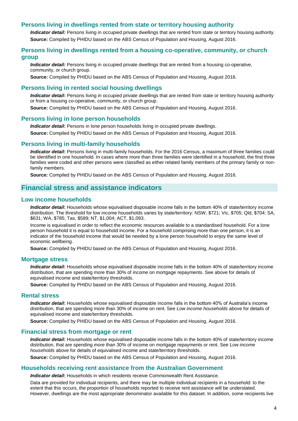#### <span id="page-7-0"></span>**Persons living in dwellings rented from state or territory housing authority**

*Indicator detail***:** Persons living in occupied private dwellings that are rented from state or territory housing authority. **Source:** Compiled by PHIDU based on the ABS Census of Population and Housing, August 2016.

#### <span id="page-7-1"></span>**Persons living in dwellings rented from a housing co-operative, community, or church group**

*Indicator detail***:** Persons living in occupied private dwellings that are rented from a housing co-operative, community, or church group.

**Source:** Compiled by PHIDU based on the ABS Census of Population and Housing, August 2016.

#### <span id="page-7-2"></span>**Persons living in rented social housing dwellings**

*Indicator detail***:** Persons living in occupied private dwellings that are rented from state or territory housing authority or from a housing co-operative, community, or church group.

**Source:** Compiled by PHIDU based on the ABS Census of Population and Housing, August 2016.

#### <span id="page-7-3"></span>**Persons living in lone person households**

*Indicator detail:* Persons in lone person households living in occupied private dwellings. **Source:** Compiled by PHIDU based on the ABS Census of Population and Housing, August 2016.

#### <span id="page-7-4"></span>**Persons living in multi-family households**

*Indicator detail***:** Persons living in multi-family households. For the 2016 Census, a maximum of three families could be identified in one household. In cases where more than three families were identified in a household, the first three families were coded and other persons were classified as either related family members of the primary family or nonfamily members.

**Source:** Compiled by PHIDU based on the ABS Census of Population and Housing, August 2016.

# <span id="page-7-5"></span>**Financial stress and assistance indicators**

#### <span id="page-7-6"></span>**Low income households**

*Indicator detail***:** Households whose equivalised disposable income falls in the bottom 40% of state/territory income distribution. The threshold for low income households varies by state/territory: NSW, \$721; Vic, \$705; Qld, \$704; SA, \$631; WA, \$785; Tas, \$589; NT, \$1,004; ACT, \$1,093.

Income is equivalised in order to reflect the economic resources available to a standardised household. For a lone person household it is equal to household income. For a household comprising more than one person, it is an indicator of the household income that would be needed by a lone person household to enjoy the same level of economic wellbeing.

**Source:** Compiled by PHIDU based on the ABS Census of Population and Housing, August 2016.

#### <span id="page-7-7"></span>**Mortgage stress**

*Indicator detail:* Households whose equivalised disposable income falls in the bottom 40% of state/territory income distribution, that are spending more than 30% of income on mortgage repayments. See above for details of equivalised income and state/territory thresholds.

**Source:** Compiled by PHIDU based on the ABS Census of Population and Housing, August 2016.

#### <span id="page-7-8"></span>**Rental stress**

*Indicator detail***:** Households whose equivalised disposable income falls in the bottom 40% of Australia's income distribution, that are spending more than 30% of income on rent. See *Low income households* above for details of equivalised income and state/territory thresholds.

**Source:** Compiled by PHIDU based on the ABS Census of Population and Housing, August 2016.

#### <span id="page-7-9"></span>**Financial stress from mortgage or rent**

*Indicator detail***:** Households whose equivalised disposable income falls in the bottom 40% of state/territory income distribution, that are spending more than 30% of income on mortgage repayments or rent. See *Low income households* above for details of equivalised income and state/territory thresholds.

**Source:** Compiled by PHIDU based on the ABS Census of Population and Housing, August 2016.

#### <span id="page-7-10"></span>**Households receiving rent assistance from the Australian Government**

*Indicator detail***:** Households in which residents receive Commonwealth Rent Assistance.

Data are provided for individual recipients, and there may be multiple individual recipients in a household: to the extent that this occurs, the proportion of households reported to receive rent assistance will be understated. However, dwellings are the most appropriate denominator available for this dataset. In addition, some recipients live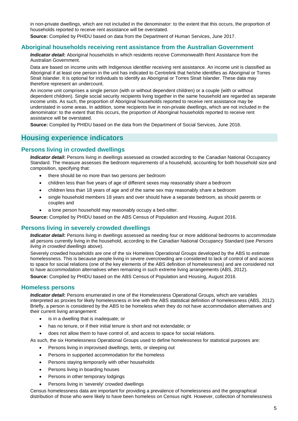in non-private dwellings, which are not included in the denominator: to the extent that this occurs, the proportion of households reported to receive rent assistance will be overstated.

**Source:** Compiled by PHIDU based on data from the Department of Human Services, June 2017.

#### <span id="page-8-0"></span>**Aboriginal households receiving rent assistance from the Australian Government**

*Indicator detail***:** Aboriginal households in which residents receive Commonwealth Rent Assistance from the Australian Government.

Data are based on income units with Indigenous identifier receiving rent assistance. An income unit is classified as Aboriginal if at least one person in the unit has indicated to Centrelink that he/she identifies as Aboriginal or Torres Strait Islander. It is optional for individuals to identify as Aboriginal or Torres Strait Islander. These data may therefore represent an undercount.

An income unit comprises a single person (with or without dependent children) or a couple (with or without dependent children). Single social security recipients living together in the same household are regarded as separate income units. As such, the proportion of Aboriginal households reported to receive rent assistance may be understated in some areas. In addition, some recipients live in non-private dwellings, which are not included in the denominator: to the extent that this occurs, the proportion of Aboriginal households reported to receive rent assistance will be overstated.

**Source:** Compiled by PHIDU based on the data from the Department of Social Services, June 2016.

# <span id="page-8-1"></span>**Housing experience indicators**

#### <span id="page-8-2"></span>**Persons living in crowded dwellings**

*Indicator detail***:** Persons living in dwellings assessed as crowded according to the Canadian National Occupancy Standard. The measure assesses the bedroom requirements of a household, accounting for both household size and composition, specifying that:

- there should be no more than two persons per bedroom
- children less than five years of age of different sexes may reasonably share a bedroom
- children less than 18 years of age and of the same sex may reasonably share a bedroom
- single household members 18 years and over should have a separate bedroom, as should parents or couples and
- a lone person household may reasonably occupy a bed-sitter.

**Source:** Compiled by PHIDU based on the ABS Census of Population and Housing, August 2016.

#### <span id="page-8-3"></span>**Persons living in severely crowded dwellings**

*Indicator detail***:** Persons living in dwellings assessed as needing four or more additional bedrooms to accommodate all persons currently living in the household, according to the Canadian National Occupancy Standard (see *Persons living in crowded dwellings* above).

Severely crowded households are one of the six Homeless Operational Groups developed by the ABS to estimate homelessness. This is because people living in severe overcrowding are considered to lack of control of and access to space for social relations (one of the key elements of the ABS definition of homelessness) and are considered not to have accommodation alternatives when remaining in such extreme living arrangements (ABS, 2012).

**Source:** Compiled by PHIDU based on the ABS Census of Population and Housing, August 2016.

#### <span id="page-8-4"></span>**Homeless persons**

*Indicator detail:* Persons enumerated in one of the Homelessness Operational Groups, which are variables interpreted as proxies for likely homelessness in line with the ABS statistical definition of homelessness (ABS, 2012). Briefly, a person is considered by the ABS to be homeless when they do not have accommodation alternatives and their current living arrangement:

- is in a dwelling that is inadequate; or
- has no tenure, or if their initial tenure is short and not extendable; or
- does not allow them to have control of, and access to space for social relations.
- As such, the six Homelessness Operational Groups used to define homelessness for statistical purposes are:
	- Persons living in improvised dwellings, tents, or sleeping out
	- Persons in supported accommodation for the homeless
	- Persons staying temporarily with other households
	- Persons living in boarding houses
	- Persons in other temporary lodgings
	- Persons living in 'severely' crowded dwellings

Census homelessness data are important for providing a prevalence of homelessness and the geographical distribution of those who were likely to have been homeless on Census night. However, collection of homelessness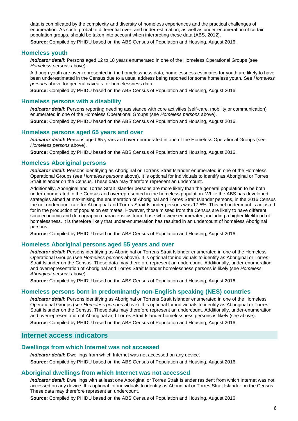data is complicated by the complexity and diversity of homeless experiences and the practical challenges of enumeration. As such, probable differential over- and under-estimation, as well as under-enumeration of certain population groups, should be taken into account when interpreting these data (ABS, 2012).

**Source:** Compiled by PHIDU based on the ABS Census of Population and Housing, August 2016.

#### **Homeless youth**

*Indicator detail***:** Persons aged 12 to 18 years enumerated in one of the Homeless Operational Groups (see *Homeless persons* above).

Although youth are over-represented in the homelessness data, homelessness estimates for youth are likely to have been underestimated in the Census due to a usual address being reported for some homeless youth. See *Homeless persons* above for general caveats for homelessness data.

**Source:** Compiled by PHIDU based on the ABS Census of Population and Housing, August 2016.

#### **Homeless persons with a disability**

*Indicator detail***:** Persons reporting needing assistance with core activities (self-care, mobility or communication) enumerated in one of the Homeless Operational Groups (see *Homeless persons* above).

**Source:** Compiled by PHIDU based on the ABS Census of Population and Housing, August 2016.

#### **Homeless persons aged 65 years and over**

*Indicator detail***:** Persons aged 65 years and over enumerated in one of the Homeless Operational Groups (see *Homeless persons* above).

**Source:** Compiled by PHIDU based on the ABS Census of Population and Housing, August 2016.

#### **Homeless Aboriginal persons**

*Indicator detail***:** Persons identifying as Aboriginal or Torrens Strait Islander enumerated in one of the Homeless Operational Groups (see *Homeless persons* above). It is optional for individuals to identify as Aboriginal or Torres Strait Islander on the Census. These data may therefore represent an undercount.

Additionally, Aboriginal and Torres Strait Islander persons are more likely than the general population to be both under-enumerated in the Census and overrepresented in the homeless population. While the ABS has developed strategies aimed at maximising the enumeration of Aboriginal and Torres Strait Islander persons, in the 2016 Census the net undercount rate for Aboriginal and Torres Strait Islander persons was 17.5%. This net undercount is adjusted for in the production of population estimates. However, those missed from the Census are likely to have different socioeconomic and demographic characteristics from those who were enumerated, including a higher likelihood of homelessness. It is therefore likely that under-enumeration has resulted in an undercount of homeless Aboriginal persons.

**Source:** Compiled by PHIDU based on the ABS Census of Population and Housing, August 2016.

#### **Homeless Aboriginal persons aged 55 years and over**

*Indicator detail***:** Persons identifying as Aboriginal or Torrens Strait Islander enumerated in one of the Homeless Operational Groups (see *Homeless persons* above). It is optional for individuals to identify as Aboriginal or Torres Strait Islander on the Census. These data may therefore represent an undercount. Additionally, under-enumeration and overrepresentation of Aboriginal and Torres Strait Islander homelessness persons is likely (see *Homeless Aboriginal persons* above).

**Source:** Compiled by PHIDU based on the ABS Census of Population and Housing, August 2016.

#### **Homeless persons born in predominantly non-English speaking (NES) countries**

*Indicator detail***:** Persons identifying as Aboriginal or Torrens Strait Islander enumerated in one of the Homeless Operational Groups (see *Homeless persons* above). It is optional for individuals to identify as Aboriginal or Torres Strait Islander on the Census. These data may therefore represent an undercount. Additionally, under-enumeration and overrepresentation of Aboriginal and Torres Strait Islander homelessness persons is likely (see above).

**Source:** Compiled by PHIDU based on the ABS Census of Population and Housing, August 2016.

# <span id="page-9-0"></span>**Internet access indicators**

#### <span id="page-9-1"></span>**Dwellings from which Internet was not accessed**

*Indicator detail***:** Dwellings from which Internet was not accessed on any device.

**Source:** Compiled by PHIDU based on the ABS Census of Population and Housing, August 2016.

#### <span id="page-9-2"></span>**Aboriginal dwellings from which Internet was not accessed**

*Indicator detail***:** Dwellings with at least one Aboriginal or Torres Strait Islander resident from which Internet was not accessed on any device. It is optional for individuals to identify as Aboriginal or Torres Strait Islander on the Census. These data may therefore represent an undercount.

**Source:** Compiled by PHIDU based on the ABS Census of Population and Housing, August 2016.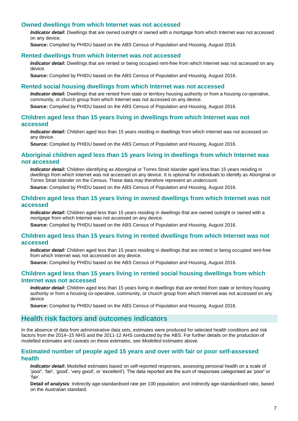#### <span id="page-10-0"></span>**Owned dwellings from which Internet was not accessed**

*Indicator detail***:** Dwellings that are owned outright or owned with a mortgage from which Internet was not accessed on any device.

**Source:** Compiled by PHIDU based on the ABS Census of Population and Housing, August 2016.

#### <span id="page-10-1"></span>**Rented dwellings from which Internet was not accessed**

*Indicator detail***:** Dwellings that are rented or being occupied rent-free from which Internet was not accessed on any device.

**Source:** Compiled by PHIDU based on the ABS Census of Population and Housing, August 2016.

#### <span id="page-10-2"></span>**Rented social housing dwellings from which Internet was not accessed**

*Indicator detail***:** Dwellings that are rented from state or territory housing authority or from a housing co-operative, community, or church group from which Internet was not accessed on any device. **Source:** Compiled by PHIDU based on the ABS Census of Population and Housing, August 2016.

#### <span id="page-10-3"></span>**Children aged less than 15 years living in dwellings from which Internet was not accessed**

*Indicator detail***:** Children aged less than 15 years residing in dwellings from which Internet was not accessed on any device.

**Source:** Compiled by PHIDU based on the ABS Census of Population and Housing, August 2016.

#### <span id="page-10-4"></span>**Aboriginal children aged less than 15 years living in dwellings from which Internet was not accessed**

*Indicator detail***:** Children identifying as Aboriginal or Torres Strait Islander aged less than 15 years residing in dwellings from which Internet was not accessed on any device. It is optional for individuals to identify as Aboriginal or Torres Strait Islander on the Census. These data may therefore represent an undercount.

**Source:** Compiled by PHIDU based on the ABS Census of Population and Housing, August 2016.

#### <span id="page-10-5"></span>**Children aged less than 15 years living in owned dwellings from which Internet was not accessed**

*Indicator detail***:** Children aged less than 15 years residing in dwellings that are owned outright or owned with a mortgage from which Internet was not accessed on any device.

**Source:** Compiled by PHIDU based on the ABS Census of Population and Housing, August 2016.

#### <span id="page-10-6"></span>**Children aged less than 15 years living in rented dwellings from which Internet was not accessed**

*Indicator detail***:** Children aged less than 15 years residing in dwellings that are rented or being occupied rent-free from which Internet was not accessed on any device.

**Source:** Compiled by PHIDU based on the ABS Census of Population and Housing, August 2016.

#### <span id="page-10-7"></span>**Children aged less than 15 years living in rented social housing dwellings from which Internet was not accessed**

*Indicator detail***:** Children aged less than 15 years living in dwellings that are rented from state or territory housing authority or from a housing co-operative, community, or church group from which Internet was not accessed on any device

**Source:** Compiled by PHIDU based on the ABS Census of Population and Housing, August 2016.

# <span id="page-10-8"></span>**Health risk factors and outcomes indicators**

In the absence of data from administrative data sets, estimates were produced for selected health conditions and risk factors from the 2014–15 NHS and the 2011-12 AHS conducted by the ABS. For further details on the production of modelled estimates and caveats on these estimates, see *Modelled estimates* above.

#### <span id="page-10-9"></span>**Estimated number of people aged 15 years and over with fair or poor self-assessed health**

*Indicator detail***:** Modelled estimates based on self-reported responses, assessing personal health on a scale of 'poor', 'fair', 'good', 'very good', or 'excellent'). The data reported are the sum of responses categorised as 'poor' or 'fair'.

**Detail of analysis**: Indirectly age-standardised rate per 100 population; and indirectly age-standardised ratio, based on the Australian standard.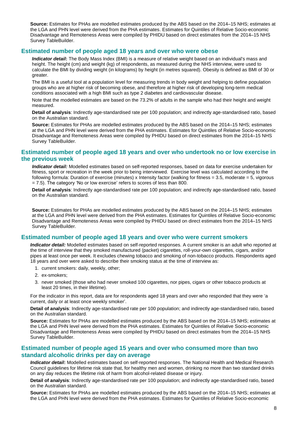**Source:** Estimates for PHAs are modelled estimates produced by the ABS based on the 2014–15 NHS; estimates at the LGA and PHN level were derived from the PHA estimates. Estimates for Quintiles of Relative Socio-economic Disadvantage and Remoteness Areas were compiled by PHIDU based on direct estimates from the 2014–15 NHS Survey TableBuilder.

#### <span id="page-11-0"></span>**Estimated number of people aged 18 years and over who were obese**

*Indicator detail***:** The Body Mass Index (BMI) is a measure of relative weight based on an individual's mass and height. The height (cm) and weight (kg) of respondents, as measured during the NHS interview, were used to calculate the BMI by dividing weight (in kilograms) by height (in metres squared). Obesity is defined as BMI of 30 or greater.

The BMI is a useful tool at a population level for measuring trends in body weight and helping to define population groups who are at higher risk of becoming obese, and therefore at higher risk of developing long-term medical conditions associated with a high BMI such as type 2 diabetes and cardiovascular disease.

Note that the modelled estimates are based on the 73.2% of adults in the sample who had their height and weight measured.

**Detail of analysis**: Indirectly age-standardised rate per 100 population; and indirectly age-standardised ratio, based on the Australian standard.

**Source:** Estimates for PHAs are modelled estimates produced by the ABS based on the 2014–15 NHS; estimates at the LGA and PHN level were derived from the PHA estimates. Estimates for Quintiles of Relative Socio-economic Disadvantage and Remoteness Areas were compiled by PHIDU based on direct estimates from the 2014–15 NHS Survey TableBuilder.

#### <span id="page-11-1"></span>**Estimated number of people aged 18 years and over who undertook no or low exercise in the previous week**

*Indicator detail:* Modelled estimates based on self-reported responses, based on data for exercise undertaken for fitness, sport or recreation in the week prior to being interviewed. Exercise level was calculated according to the following formula: Duration of exercise (minutes) x Intensity factor (walking for fitness = 3.5, moderate = 5, vigorous = 7.5). The category 'No or low exercise' refers to scores of less than 800.

**Detail of analysis**: Indirectly age-standardised rate per 100 population; and indirectly age-standardised ratio, based on the Australian standard.

**Source:** Estimates for PHAs are modelled estimates produced by the ABS based on the 2014–15 NHS; estimates at the LGA and PHN level were derived from the PHA estimates. Estimates for Quintiles of Relative Socio-economic Disadvantage and Remoteness Areas were compiled by PHIDU based on direct estimates from the 2014–15 NHS Survey TableBuilder.

#### <span id="page-11-2"></span>**Estimated number of people aged 18 years and over who were current smokers**

*Indicator detail:* Modelled estimates based on self-reported responses. A current smoker is an adult who reported at the time of interview that they smoked manufactured (packet) cigarettes, roll-your-own cigarettes, cigars, and/or pipes at least once per week. It excludes chewing tobacco and smoking of non-tobacco products. Respondents aged 18 years and over were asked to describe their smoking status at the time of interview as:

- 1. current smokers: daily, weekly, other;
- 2. ex-smokers;
- 3. never smoked (those who had never smoked 100 cigarettes, nor pipes, cigars or other tobacco products at least 20 times, in their lifetime).

For the indicator in this report, data are for respondents aged 18 years and over who responded that they were 'a current, daily or at least once weekly smoker'.

**Detail of analysis**: Indirectly age-standardised rate per 100 population; and indirectly age-standardised ratio, based on the Australian standard.

**Source:** Estimates for PHAs are modelled estimates produced by the ABS based on the 2014–15 NHS; estimates at the LGA and PHN level were derived from the PHA estimates. Estimates for Quintiles of Relative Socio-economic Disadvantage and Remoteness Areas were compiled by PHIDU based on direct estimates from the 2014–15 NHS Survey TableBuilder.

# <span id="page-11-3"></span>**Estimated number of people aged 15 years and over who consumed more than two standard alcoholic drinks per day on average**

*Indicator detail***:** Modelled estimates based on self-reported responses. The National Health and Medical Research Council guidelines for lifetime risk state that, for healthy men and women, drinking no more than two standard drinks on any day reduces the lifetime risk of harm from alcohol-related disease or injury.

**Detail of analysis**: Indirectly age-standardised rate per 100 population; and indirectly age-standardised ratio, based on the Australian standard.

**Source:** Estimates for PHAs are modelled estimates produced by the ABS based on the 2014–15 NHS; estimates at the LGA and PHN level were derived from the PHA estimates. Estimates for Quintiles of Relative Socio-economic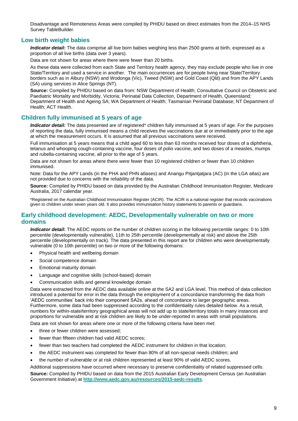Disadvantage and Remoteness Areas were compiled by PHIDU based on direct estimates from the 2014–15 NHS Survey TableBuilder.

# <span id="page-12-0"></span>**Low birth weight babies**

*Indicator detail:* The data comprise all live born babies weighing less than 2500 grams at birth, expressed as a proportion of all live births (data over 3 years).

Data are not shown for areas where there were fewer than 20 births.

As these data were collected from each State and Territory health agency, they may exclude people who live in one State/Territory and used a service in another. The main occurrences are for people living near State/Territory borders such as in Albury (NSW) and Wodonga (Vic), Tweed (NSW) and Gold Coast (Qld) and from the APY Lands (SA) using services in Alice Springs (NT).

**Source:** Compiled by PHIDU based on data from: NSW Department of Health; Consultative Council on Obstetric and Paediatric Mortality and Morbidity, Victoria; Perinatal Data Collection, Department of Health, Queensland; Department of Health and Ageing SA; WA Department of Health; Tasmanian Perinatal Database; NT Department of Health; ACT Health.

#### <span id="page-12-1"></span>**Children fully immunised at 5 years of age**

*Indicator detail:* The data presented are of registered<sup>\*</sup> children fully immunised at 5 years of age. For the purposes of reporting the data, fully immunised means a child receives the vaccinations due at or immediately prior to the age at which the measurement occurs. It is assumed that all previous vaccinations were received.

Full immunisation at 5 years means that a child aged 60 to less than 63 months received four doses of a diphtheria, tetanus and whooping cough-containing vaccine, four doses of polio vaccine, and two doses of a measles, mumps and rubella-containing vaccine, all prior to the age of 5 years.

Data are not shown for areas where there were fewer than 10 registered children or fewer than 10 children immunised.

Note: Data for the APY Lands (in the PHA and PHN atlases) and Anangu Pitjantjatjara (AC) (in the LGA atlas) are not provided due to concerns with the reliability of the data.

**Source:** Compiled by PHIDU based on data provided by the Australian Childhood Immunisation Register, Medicare Australia, 2017 calendar year.

\*Registered on the Australian Childhood Immunisation Register (ACIR). The ACIR is a national register that records vaccinations given to children under seven years old. It also provides immunisation history statements to parents or guardians.

#### <span id="page-12-2"></span>**Early childhood development: AEDC, Developmentally vulnerable on two or more domains**

*Indicator detail***:** The AEDC reports on the number of children scoring in the following percentile ranges: 0 to 10th percentile (developmentally vulnerable), 11th to 25th percentile (developmentally at risk) and above the 25th percentile (developmentally on track). The data presented in this report are for children who were developmentally vulnerable (0 to 10th percentile) on two or more of the following domains:

- Physical health and wellbeing domain
- Social competence domain
- Emotional maturity domain
- Language and cognitive skills (school-based) domain
- Communication skills and general knowledge domain

Data were extracted from the AEDC data available online at the SA2 and LGA level. This method of data collection introduced a potential for error in the data through the employment of a concordance transforming the data from 'AEDC communities' back into their component SA2s, ahead of concordance to larger geographic areas. Furthermore, some data had been suppressed according to the confidentiality rules detailed below. As a result, numbers for within-state/territory geographical areas will not add up to state/territory totals in many instances and proportions for vulnerable and at risk children are likely to be under-reported in areas with small populations. Data are not shown for areas where one or more of the following criteria have been met:

- three or fewer children were assessed;
- fewer than fifteen children had valid AEDC scores:
- fewer than two teachers had completed the AEDC instrument for children in that location;
- the AEDC instrument was completed for fewer than 80% of all non-special needs children; and
- the number of vulnerable or at risk children represented at least 90% of valid AEDC scores.

Additional suppressions have occurred where necessary to preserve confidentiality of related suppressed cells.

**Source:** Compiled by PHIDU based on data from the 2015 Australian Early Development Census (an Australian Government Initiative) at **<http://www.aedc.gov.au/resources/2015-aedc-results>**.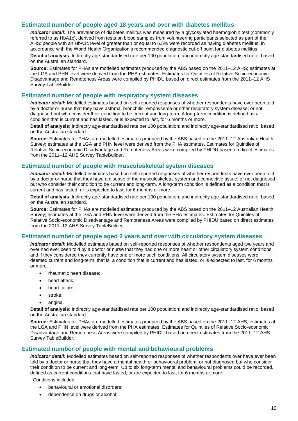# <span id="page-13-0"></span>**Estimated number of people aged 18 years and over with diabetes mellitus**

*Indicator detail***:** The prevalence of diabetes mellitus was measured by a glycosylated haemoglobin test (commonly referred to as HbA1c), derived from tests on blood samples from volunteering participants selected as part of the AHS: people with an HbA1c level of greater than or equal to 6.5% were recorded as having diabetes mellitus, in accordance with the World Health Organization's recommended diagnostic cut-off point for diabetes mellitus.

**Detail of analysis**: Indirectly age-standardised rate per 100 population; and indirectly age-standardised ratio, based on the Australian standard.

**Source:** Estimates for PHAs are modelled estimates produced by the ABS based on the 2011–12 AHS; estimates at the LGA and PHN level were derived from the PHA estimates. Estimates for Quintiles of Relative Socio-economic Disadvantage and Remoteness Areas were compiled by PHIDU based on direct estimates from the 2011–12 AHS Survey TableBuilder.

#### <span id="page-13-1"></span>**Estimated number of people with respiratory system diseases**

*Indicator detail***:** Modelled estimates based on self-reported responses of whether respondents have ever been told by a doctor or nurse that they have asthma, bronchitis, emphysema or other respiratory system disease; or not diagnosed but who consider their condition to be current and long-term. A long-term condition is defined as a condition that is current and has lasted, or is expected to last, for 6 months or more.

**Detail of analysis**: Indirectly age-standardised rate per 100 population; and indirectly age-standardised ratio, based on the Australian standard.

**Source:** Estimates for PHAs are modelled estimates produced by the ABS based on the 2011–12 Australian Health Survey; estimates at the LGA and PHN level were derived from the PHA estimates. Estimates for Quintiles of Relative Socio-economic Disadvantage and Remoteness Areas were compiled by PHIDU based on direct estimates from the 2011-12 AHS Survey TableBuilder.

#### <span id="page-13-2"></span>**Estimated number of people with musculoskeletal system diseases**

*Indicator detail***:** Modelled estimates based on self-reported responses of whether respondents have ever been told by a doctor or nurse that they have a disease of the musculoskeletal system and connective tissue; or not diagnosed but who consider their condition to be current and long-term. A long-term condition is defined as a condition that is current and has lasted, or is expected to last, for 6 months or more.

**Detail of analysis**: Indirectly age-standardised rate per 100 population; and indirectly age-standardised ratio, based on the Australian standard.

**Source:** Estimates for PHAs are modelled estimates produced by the ABS based on the 2011–12 Australian Health Survey; estimates at the LGA and PHN level were derived from the PHA estimates. Estimates for Quintiles of Relative Socio-economic Disadvantage and Remoteness Areas were compiled by PHIDU based on direct estimates from the 2011–12 AHS Survey TableBuilder.

# <span id="page-13-3"></span>**Estimated number of people aged 2 years and over with circulatory system diseases**

*Indicator detail***:** Modelled estimates based on self-reported responses of whether respondents aged two years and over had ever been told by a doctor or nurse that they had one or more heart or other circulatory system conditions, and if they considered they currently have one or more such conditions. All circulatory system diseases were deemed current and long-term; that is, a condition that is current and has lasted, or is expected to last, for 6 months or more.

- rheumatic heart disease;
- heart attack;
- heart failure:
- stroke;
- angina.

**Detail of analysis**: Indirectly age-standardised rate per 100 population; and indirectly age-standardised ratio, based on the Australian standard.

**Source:** Estimates for PHAs are modelled estimates produced by the ABS based on the 2011–12 AHS; estimates at the LGA and PHN level were derived from the PHA estimates. Estimates for Quintiles of Relative Socio-economic Disadvantage and Remoteness Areas were compiled by PHIDU based on direct estimates from the 2011–12 AHS Survey TableBuilder.

#### <span id="page-13-4"></span>**Estimated number of people with mental and behavioural problems**

*Indicator detail***:** Modelled estimates based on self-reported responses of whether respondents over have ever been told by a doctor or nurse that they have a mental health or behavioural problem; or not diagnosed but who consider their condition to be current and long-term. Up to six long-term mental and behavioural problems could be recorded, defined as current conditions that have lasted, or are expected to last, for 6 months or more.

. Conditions included:

- behavioural or emotional disorders;
- dependence on drugs or alcohol;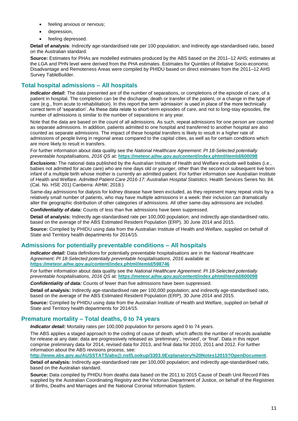- feeling anxious or nervous;
- depression,
- feeling depressed.

**Detail of analysis**: Indirectly age-standardised rate per 100 population; and indirectly age-standardised ratio, based on the Australian standard.

**Source:** Estimates for PHAs are modelled estimates produced by the ABS based on the 2011–12 AHS; estimates at the LGA and PHN level were derived from the PHA estimates. Estimates for Quintiles of Relative Socio-economic Disadvantage and Remoteness Areas were compiled by PHIDU based on direct estimates from the 2011–12 AHS Survey TableBuilder.

# <span id="page-14-0"></span>**Total hospital admissions – All hospitals**

*Indicator detail***:** The data presented are of the number of separations, or completions of the episode of care, of a patient in hospital. The completion can be the discharge, death or transfer of the patient, or a change in the type of care (e.g., from acute to rehabilitation). In this report the term 'admission' is used in place of the more technically correct term of 'separation'. As these data relate to short-term episodes of care, and not to long-stay episodes, the number of admissions is similar to the number of separations in any year.

Note that the data are based on the count of all admissions. As such, repeat admissions for one person are counted as separate admissions. In addition, patients admitted to one hospital and transferred to another hospital are also counted as separate admissions. The impact of these hospital transfers is likely to result in a higher rate of admissions of people living in regional areas compared to the capital cities, as well as for certain conditions which are more likely to result in transfers.

For further information about data quality see the *National Healthcare Agreement: PI 18-Selected potentially preventable hospitalisations, 2016 QS* at: **<https://meteor.aihw.gov.au/content/index.phtml/itemId/600098>**

*Exclusions:* The national data published by the Australian Institute of Health and Welfare exclude well babies (i.e., babies not admitted for acute care) who are nine days old or younger, other than the second or subsequent live born infant of a multiple birth whose mother is currently an admitted patient. For further information see Australian Institute of Health and Welfare. *Admitted Patient Care 2016-17: Australian Hospital Statistics*. Health Services Series No. 84. (Cat. No. HSE 201) Canberra: AIHW; 2018.)

Same-day admissions for dialysis for kidney disease have been excluded, as they represent many repeat visits by a relatively small number of patients, who may have multiple admissions in a week: their inclusion can dramatically alter the geographic distribution of other categories of admissions. All other same-day admissions are included.

*Confidentiality of data:* Counts of less than five admissions have been suppressed.

**Detail of analysis:** Indirectly age-standardised rate per 100,000 population; and indirectly age-standardised ratio, based on the average of the ABS Estimated Resident Population (ERP), 30 June 2014 and 2015.

**Source:** Compiled by PHIDU using data from the Australian Institute of Health and Welfare, supplied on behalf of State and Territory health departments for 2014/15.

# <span id="page-14-1"></span>**Admissions for potentially preventable conditions – All hospitals**

*Indicator detail:* Data definitions for potentially preventable hospitalisations are in the *National Healthcare Agreement: PI 18-Selected potentially preventable hospitalisations, 2016* available at: **<https://meteor.aihw.gov.au/content/index.phtml/itemId/598746>**

For further information about data quality see the *National Healthcare Agreement: PI 18-Selected potentially preventable hospitalisations, 2016 QS* at: **<https://meteor.aihw.gov.au/content/index.phtml/itemId/600098>**

*Confidentiality of data:* Counts of fewer than five admissions have been suppressed.

**Detail of analysis:** Indirectly age-standardised rate per 100,000 population; and indirectly age-standardised ratio, based on the average of the ABS Estimated Resident Population (ERP), 30 June 2014 and 2015.

**Source:** Compiled by PHIDU using data from the Australian Institute of Health and Welfare, supplied on behalf of State and Territory health departments for 2014/15.

# <span id="page-14-2"></span>**Premature mortality – Total deaths, 0 to 74 years**

*Indicator detail:* Mortality rates per 100,000 population for persons aged 0 to 74 years.

The ABS applies a staged approach to the coding of cause of death, which affects the number of records available for release at any date: data are progressively released as 'preliminary', 'revised', or 'final'. Data in this report comprise preliminary data for 2014, revised data for 2013, and final data for 2010, 2011 and 2012. For further information about the ABS revisions process, see:

**<http://www.abs.gov.au/AUSSTATS/abs@.nsf/Lookup/3303.0Explanatory%20Notes12015?OpenDocument>**.

**Detail of analysis:** Indirectly age-standardised rate per 100,000 population; and indirectly age-standardised ratio, based on the Australian standard.

**Source:** Data compiled by PHIDU from deaths data based on the 2011 to 2015 Cause of Death Unit Record Files supplied by the Australian Coordinating Registry and the Victorian Department of Justice, on behalf of the Registries of Births, Deaths and Marriages and the National Coronial Information System.